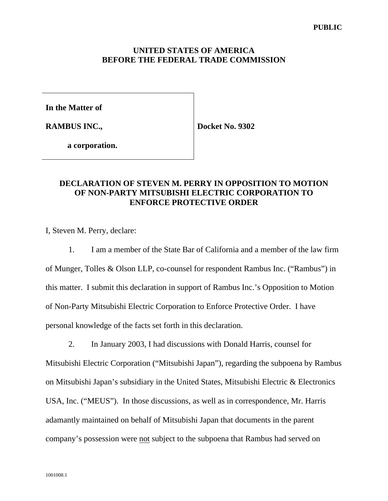### **UNITED STATES OF AMERICA BEFORE THE FEDERAL TRADE COMMISSION**

**In the Matter of** 

**RAMBUS INC.,** 

**Docket No. 9302** 

 **a corporation.**

### **DECLARATION OF STEVEN M. PERRY IN OPPOSITION TO MOTION OF NON-PARTY MITSUBISHI ELECTRIC CORPORATION TO ENFORCE PROTECTIVE ORDER**

I, Steven M. Perry, declare:

 1. I am a member of the State Bar of California and a member of the law firm of Munger, Tolles & Olson LLP, co-counsel for respondent Rambus Inc. ("Rambus") in this matter. I submit this declaration in support of Rambus Inc.'s Opposition to Motion of Non-Party Mitsubishi Electric Corporation to Enforce Protective Order. I have personal knowledge of the facts set forth in this declaration.

 2. In January 2003, I had discussions with Donald Harris, counsel for Mitsubishi Electric Corporation ("Mitsubishi Japan"), regarding the subpoena by Rambus on Mitsubishi Japan's subsidiary in the United States, Mitsubishi Electric & Electronics USA, Inc. ("MEUS"). In those discussions, as well as in correspondence, Mr. Harris adamantly maintained on behalf of Mitsubishi Japan that documents in the parent company's possession were not subject to the subpoena that Rambus had served on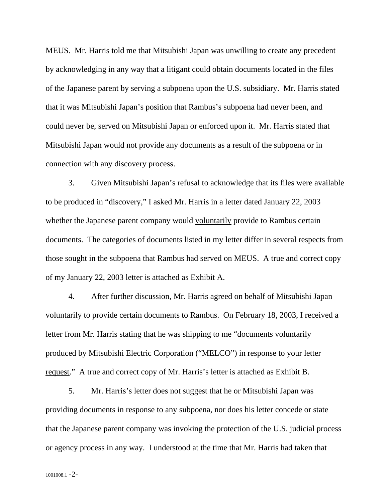MEUS. Mr. Harris told me that Mitsubishi Japan was unwilling to create any precedent by acknowledging in any way that a litigant could obtain documents located in the files of the Japanese parent by serving a subpoena upon the U.S. subsidiary. Mr. Harris stated that it was Mitsubishi Japan's position that Rambus's subpoena had never been, and could never be, served on Mitsubishi Japan or enforced upon it. Mr. Harris stated that Mitsubishi Japan would not provide any documents as a result of the subpoena or in connection with any discovery process.

 3. Given Mitsubishi Japan's refusal to acknowledge that its files were available to be produced in "discovery," I asked Mr. Harris in a letter dated January 22, 2003 whether the Japanese parent company would voluntarily provide to Rambus certain documents. The categories of documents listed in my letter differ in several respects from those sought in the subpoena that Rambus had served on MEUS. A true and correct copy of my January 22, 2003 letter is attached as Exhibit A.

 4. After further discussion, Mr. Harris agreed on behalf of Mitsubishi Japan voluntarily to provide certain documents to Rambus. On February 18, 2003, I received a letter from Mr. Harris stating that he was shipping to me "documents voluntarily produced by Mitsubishi Electric Corporation ("MELCO") in response to your letter request." A true and correct copy of Mr. Harris's letter is attached as Exhibit B.

 5. Mr. Harris's letter does not suggest that he or Mitsubishi Japan was providing documents in response to any subpoena, nor does his letter concede or state that the Japanese parent company was invoking the protection of the U.S. judicial process or agency process in any way. I understood at the time that Mr. Harris had taken that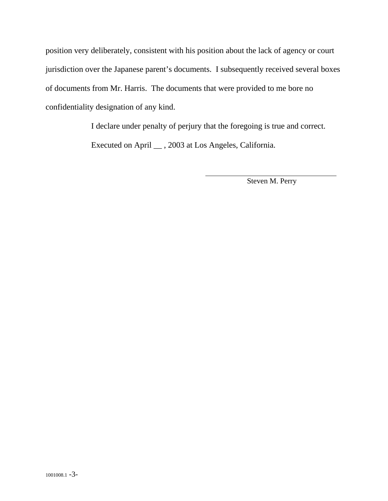position very deliberately, consistent with his position about the lack of agency or court jurisdiction over the Japanese parent's documents. I subsequently received several boxes of documents from Mr. Harris. The documents that were provided to me bore no confidentiality designation of any kind.

I declare under penalty of perjury that the foregoing is true and correct.

 $\overline{a}$ 

Executed on April \_\_ , 2003 at Los Angeles, California.

Steven M. Perry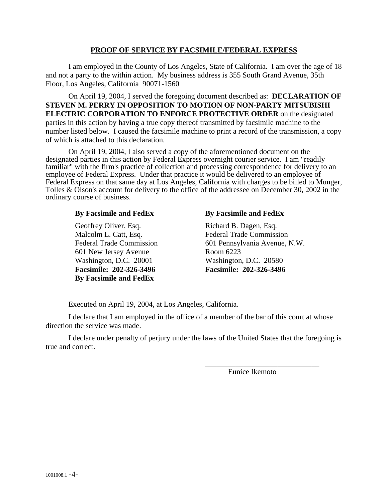#### **PROOF OF SERVICE BY FACSIMILE/FEDERAL EXPRESS**

I am employed in the County of Los Angeles, State of California. I am over the age of 18 and not a party to the within action. My business address is 355 South Grand Avenue, 35th Floor, Los Angeles, California 90071-1560

 On April 19, 2004, I served the foregoing document described as: **DECLARATION OF STEVEN M. PERRY IN OPPOSITION TO MOTION OF NON-PARTY MITSUBISHI ELECTRIC CORPORATION TO ENFORCE PROTECTIVE ORDER** on the designated parties in this action by having a true copy thereof transmitted by facsimile machine to the number listed below. I caused the facsimile machine to print a record of the transmission, a copy of which is attached to this declaration.

 On April 19, 2004, I also served a copy of the aforementioned document on the designated parties in this action by Federal Express overnight courier service. I am "readily familiar" with the firm's practice of collection and processing correspondence for delivery to an employee of Federal Express. Under that practice it would be delivered to an employee of Federal Express on that same day at Los Angeles, California with charges to be billed to Munger, Tolles & Olson's account for delivery to the office of the addressee on December 30, 2002 in the ordinary course of business.

### **By Facsimile and FedEx**

Geoffrey Oliver, Esq. Malcolm L. Catt, Esq. Federal Trade Commission 601 New Jersey Avenue Washington, D.C. 20001 **Facsimile: 202-326-3496 By Facsimile and FedEx**

### **By Facsimile and FedEx**

Richard B. Dagen, Esq. Federal Trade Commission 601 Pennsylvania Avenue, N.W. Room 6223 Washington, D.C. 20580 **Facsimile: 202-326-3496**

Executed on April 19, 2004, at Los Angeles, California.

I declare that I am employed in the office of a member of the bar of this court at whose direction the service was made.

I declare under penalty of perjury under the laws of the United States that the foregoing is true and correct.

Eunice Ikemoto

\_\_\_\_\_\_\_\_\_\_\_\_\_\_\_\_\_\_\_\_\_\_\_\_\_\_\_\_\_\_